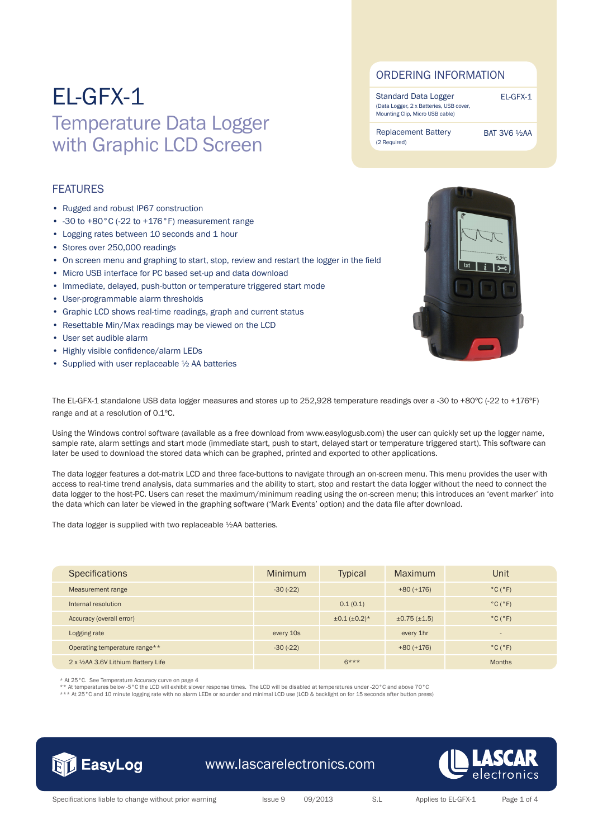## EL-GFX-1 Temperature Data Logger with Graphic LCD Screen

#### **FEATURES**

- Rugged and robust IP67 construction
- -30 to +80°C (-22 to +176°F) measurement range
- Logging rates between 10 seconds and 1 hour
- Stores over 250,000 readings
- On screen menu and graphing to start, stop, review and restart the logger in the field
- Micro USB interface for PC based set-up and data download
- Immediate, delayed, push-button or temperature triggered start mode
- User-programmable alarm thresholds
- Graphic LCD shows real-time readings, graph and current status
- Resettable Min/Max readings may be viewed on the LCD
- User set audible alarm
- Highly visible confidence/alarm LEDs
- Supplied with user replaceable 1/2 AA batteries

Standard Data Logger (Data Logger, 2 x Batteries, USB cover, Mounting Clip, Micro USB cable)

BAT 3V6 ½AA

EL-GFX-1

Replacement Battery (2 Required)



The EL-GFX-1 standalone USB data logger measures and stores up to 252,928 temperature readings over a -30 to +80ºC (-22 to +176ºF) range and at a resolution of 0.1ºC.

Using the Windows control software (available as a free download from www.easylogusb.com) the user can quickly set up the logger name, sample rate, alarm settings and start mode (immediate start, push to start, delayed start or temperature triggered start). This software can later be used to download the stored data which can be graphed, printed and exported to other applications.

The data logger features a dot-matrix LCD and three face-buttons to navigate through an on-screen menu. This menu provides the user with access to real-time trend analysis, data summaries and the ability to start, stop and restart the data logger without the need to connect the data logger to the host-PC. Users can reset the maximum/minimum reading using the on-screen menu; this introduces an 'event marker' into the data which can later be viewed in the graphing software ('Mark Events' option) and the data file after download.

The data logger is supplied with two replaceable ½AA batteries.

| <b>Specifications</b>               | Minimum    | <b>Typical</b>        | Maximum      | Unit                         |
|-------------------------------------|------------|-----------------------|--------------|------------------------------|
| Measurement range                   | $-30(-22)$ |                       | $+80 (+176)$ | $^{\circ}$ C $(^{\circ}F)$   |
| Internal resolution                 |            | 0.1(0.1)              |              | $^{\circ}$ C $(^{\circ}F)$   |
| Accuracy (overall error)            |            | $\pm 0.1 (\pm 0.2)^*$ | ±0.75(±1.5)  | $^{\circ}$ C ( $^{\circ}$ F) |
| Logging rate                        | every 10s  |                       | every 1hr    | $\qquad \qquad$              |
| Operating temperature range**       | $-30(-22)$ |                       | $+80 (+176)$ | $^{\circ}$ C ( $^{\circ}$ F) |
| 2 x 1/2AA 3.6V Lithium Battery Life |            | $6***$                |              | <b>Months</b>                |

\* At 25°C. See Temperature Accuracy curve on page 4

\*\* At temperatures below -5°C the LCD will exhibit slower response times. The LCD will be disabled at temperatures under -20°C and above 70°C

\*\*\* At 25°C and 10 minute logging rate with no alarm LEDs or sounder and minimal LCD use (LCD & backlight on for 15 seconds after button press)



### www.lascarelectronics.com

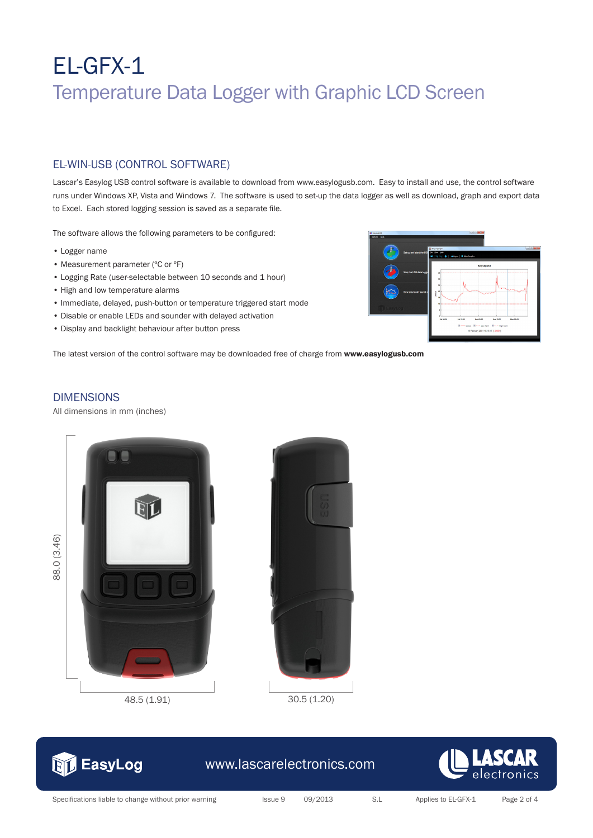# EL-GFX-1 Temperature Data Logger with Graphic LCD Screen

### EL-WIN-USB (CONTROL SOFTWARE)

Lascar's Easylog USB control software is available to download from www.easylogusb.com. Easy to install and use, the control software runs under Windows XP, Vista and Windows 7. The software is used to set-up the data logger as well as download, graph and export data to Excel. Each stored logging session is saved as a separate file.

The software allows the following parameters to be configured:

- Logger name
- Measurement parameter (°C or °F)
- Logging Rate (user-selectable between 10 seconds and 1 hour)
- High and low temperature alarms
- Immediate, delayed, push-button or temperature triggered start mode
- Disable or enable LEDs and sounder with delayed activation
- Display and backlight behaviour after button press

The latest version of the control software may be downloaded free of charge from www.easylogusb.com

## **DIMENSIONS**

All dimensions in mm (inches)

38.0 (3.46) 88.0 (3.46)









## www.lascarelectronics.com



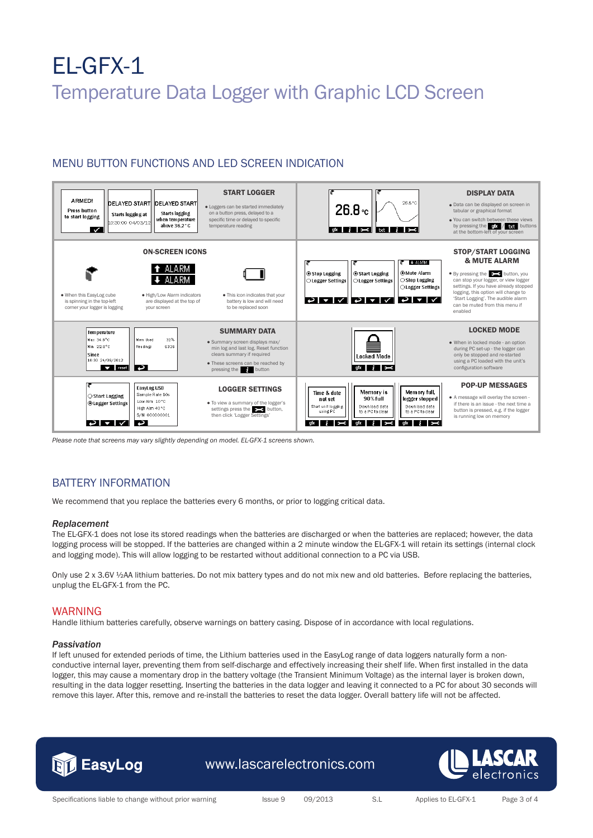# EL-GFX-1 Temperature Data Logger with Graphic LCD Screen

### MENU BUTTON FUNCTIONS AND LED SCREEN INDICATION



*Please note that screens may vary slightly depending on model. EL-GFX-1 screens shown.*

#### BATTERY INFORMATION

We recommend that you replace the batteries every 6 months, or prior to logging critical data.

#### *Replacement*

The EL-GFX-1 does not lose its stored readings when the batteries are discharged or when the batteries are replaced; however, the data logging process will be stopped. If the batteries are changed within a 2 minute window the EL-GFX-1 will retain its settings (internal clock and logging mode). This will allow logging to be restarted without additional connection to a PC via USB.

Only use 2 x 3.6V 1/2AA lithium batteries. Do not mix battery types and do not mix new and old batteries. Before replacing the batteries, unplug the EL-GFX-1 from the PC.

#### WARNING

Handle lithium batteries carefully, observe warnings on battery casing. Dispose of in accordance with local regulations.

#### *Passivation*

If left unused for extended periods of time, the Lithium batteries used in the EasyLog range of data loggers naturally form a nonconductive internal layer, preventing them from self-discharge and effectively increasing their shelf life. When first installed in the data logger, this may cause a momentary drop in the battery voltage (the Transient Minimum Voltage) as the internal layer is broken down, resulting in the data logger resetting. Inserting the batteries in the data logger and leaving it connected to a PC for about 30 seconds will remove this layer. After this, remove and re-install the batteries to reset the data logger. Overall battery life will not be affected.



www.lascarelectronics.com